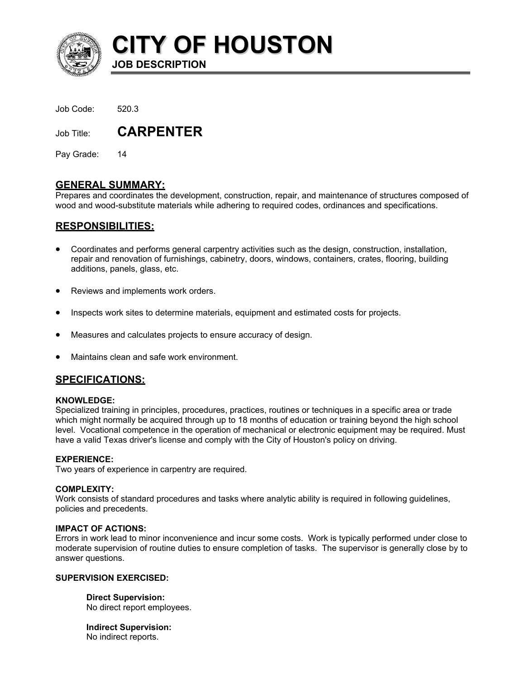

**CITY OF HOUSTON**

Job Code: 520.3

Job Title: **CARPENTER** 

**JOB DESCRIPTION** 

Pay Grade: 14

# **GENERAL SUMMARY:**

Prepares and coordinates the development, construction, repair, and maintenance of structures composed of wood and wood-substitute materials while adhering to required codes, ordinances and specifications.

# **RESPONSIBILITIES:**

- Coordinates and performs general carpentry activities such as the design, construction, installation, repair and renovation of furnishings, cabinetry, doors, windows, containers, crates, flooring, building additions, panels, glass, etc.
- Reviews and implements work orders.
- Inspects work sites to determine materials, equipment and estimated costs for projects.
- Measures and calculates projects to ensure accuracy of design.
- Maintains clean and safe work environment.

# **SPECIFICATIONS:**

## **KNOWLEDGE:**

Specialized training in principles, procedures, practices, routines or techniques in a specific area or trade which might normally be acquired through up to 18 months of education or training beyond the high school level. Vocational competence in the operation of mechanical or electronic equipment may be required. Must have a valid Texas driver's license and comply with the City of Houston's policy on driving.

## **EXPERIENCE:**

Two years of experience in carpentry are required.

#### **COMPLEXITY:**

Work consists of standard procedures and tasks where analytic ability is required in following guidelines, policies and precedents.

## **IMPACT OF ACTIONS:**

Errors in work lead to minor inconvenience and incur some costs. Work is typically performed under close to moderate supervision of routine duties to ensure completion of tasks. The supervisor is generally close by to answer questions.

#### **SUPERVISION EXERCISED:**

**Direct Supervision:** No direct report employees.

**Indirect Supervision:** No indirect reports.